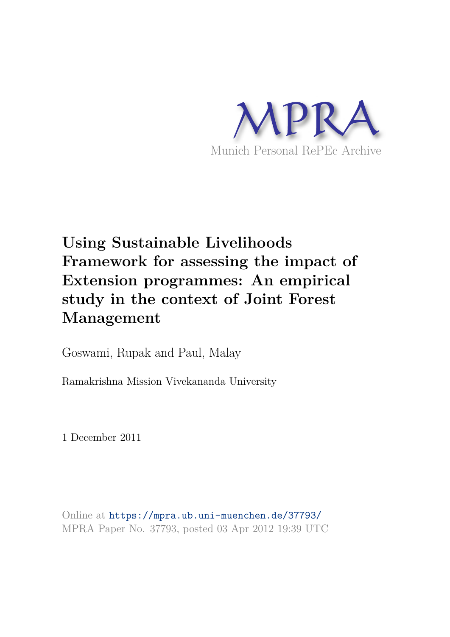

# **Using Sustainable Livelihoods Framework for assessing the impact of Extension programmes: An empirical study in the context of Joint Forest Management**

Goswami, Rupak and Paul, Malay

Ramakrishna Mission Vivekananda University

1 December 2011

Online at https://mpra.ub.uni-muenchen.de/37793/ MPRA Paper No. 37793, posted 03 Apr 2012 19:39 UTC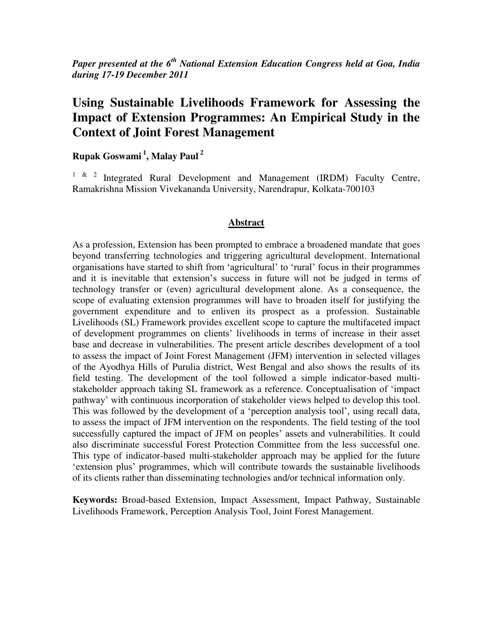*Paper presented at the 6th National Extension Education Congress held at Goa, India during 17-19 December 2011* 

# **Using Sustainable Livelihoods Framework for Assessing the Impact of Extension Programmes: An Empirical Study in the Context of Joint Forest Management**

**Rupak Goswami<sup>1</sup> , Malay Paul <sup>2</sup>**

<sup>1 & 2</sup> Integrated Rural Development and Management (IRDM) Faculty Centre, Ramakrishna Mission Vivekananda University, Narendrapur, Kolkata-700103

#### **Abstract**

As a profession, Extension has been prompted to embrace a broadened mandate that goes beyond transferring technologies and triggering agricultural development. International organisations have started to shift from 'agricultural' to 'rural' focus in their programmes and it is inevitable that extension's success in future will not be judged in terms of technology transfer or (even) agricultural development alone. As a consequence, the scope of evaluating extension programmes will have to broaden itself for justifying the government expenditure and to enliven its prospect as a profession. Sustainable Livelihoods (SL) Framework provides excellent scope to capture the multifaceted impact of development programmes on clients' livelihoods in terms of increase in their asset base and decrease in vulnerabilities. The present article describes development of a tool to assess the impact of Joint Forest Management (JFM) intervention in selected villages of the Ayodhya Hills of Purulia district, West Bengal and also shows the results of its field testing. The development of the tool followed a simple indicator-based multistakeholder approach taking SL framework as a reference. Conceptualisation of 'impact pathway' with continuous incorporation of stakeholder views helped to develop this tool. This was followed by the development of a 'perception analysis tool', using recall data, to assess the impact of JFM intervention on the respondents. The field testing of the tool successfully captured the impact of JFM on peoples' assets and vulnerabilities. It could also discriminate successful Forest Protection Committee from the less successful one. This type of indicator-based multi-stakeholder approach may be applied for the future 'extension plus' programmes, which will contribute towards the sustainable livelihoods of its clients rather than disseminating technologies and/or technical information only.

**Keywords:** Broad-based Extension, Impact Assessment, Impact Pathway, Sustainable Livelihoods Framework, Perception Analysis Tool, Joint Forest Management.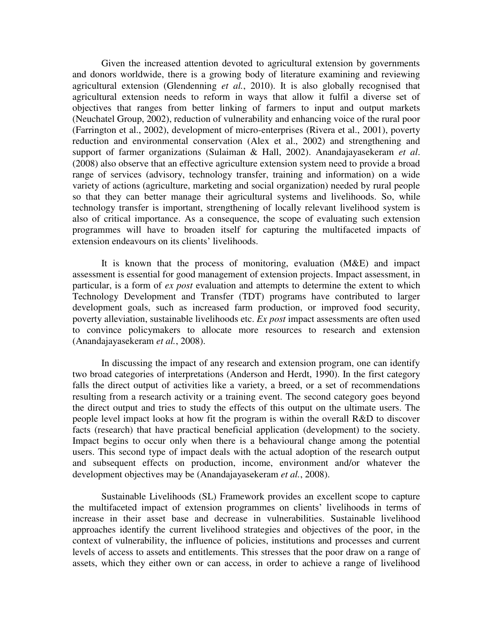Given the increased attention devoted to agricultural extension by governments and donors worldwide, there is a growing body of literature examining and reviewing agricultural extension (Glendenning *et al.*, 2010). It is also globally recognised that agricultural extension needs to reform in ways that allow it fulfil a diverse set of objectives that ranges from better linking of farmers to input and output markets (Neuchatel Group, 2002), reduction of vulnerability and enhancing voice of the rural poor (Farrington et al., 2002), development of micro-enterprises (Rivera et al., 2001), poverty reduction and environmental conservation (Alex et al., 2002) and strengthening and support of farmer organizations (Sulaiman & Hall, 2002). Anandajayasekeram *et al*. (2008) also observe that an effective agriculture extension system need to provide a broad range of services (advisory, technology transfer, training and information) on a wide variety of actions (agriculture, marketing and social organization) needed by rural people so that they can better manage their agricultural systems and livelihoods. So, while technology transfer is important, strengthening of locally relevant livelihood system is also of critical importance. As a consequence, the scope of evaluating such extension programmes will have to broaden itself for capturing the multifaceted impacts of extension endeavours on its clients' livelihoods.

It is known that the process of monitoring, evaluation (M&E) and impact assessment is essential for good management of extension projects. Impact assessment, in particular, is a form of *ex post* evaluation and attempts to determine the extent to which Technology Development and Transfer (TDT) programs have contributed to larger development goals, such as increased farm production, or improved food security, poverty alleviation, sustainable livelihoods etc. *Ex post* impact assessments are often used to convince policymakers to allocate more resources to research and extension (Anandajayasekeram *et al.*, 2008).

In discussing the impact of any research and extension program, one can identify two broad categories of interpretations (Anderson and Herdt, 1990). In the first category falls the direct output of activities like a variety, a breed, or a set of recommendations resulting from a research activity or a training event. The second category goes beyond the direct output and tries to study the effects of this output on the ultimate users. The people level impact looks at how fit the program is within the overall R&D to discover facts (research) that have practical beneficial application (development) to the society. Impact begins to occur only when there is a behavioural change among the potential users. This second type of impact deals with the actual adoption of the research output and subsequent effects on production, income, environment and/or whatever the development objectives may be (Anandajayasekeram *et al.*, 2008).

Sustainable Livelihoods (SL) Framework provides an excellent scope to capture the multifaceted impact of extension programmes on clients' livelihoods in terms of increase in their asset base and decrease in vulnerabilities. Sustainable livelihood approaches identify the current livelihood strategies and objectives of the poor, in the context of vulnerability, the influence of policies, institutions and processes and current levels of access to assets and entitlements. This stresses that the poor draw on a range of assets, which they either own or can access, in order to achieve a range of livelihood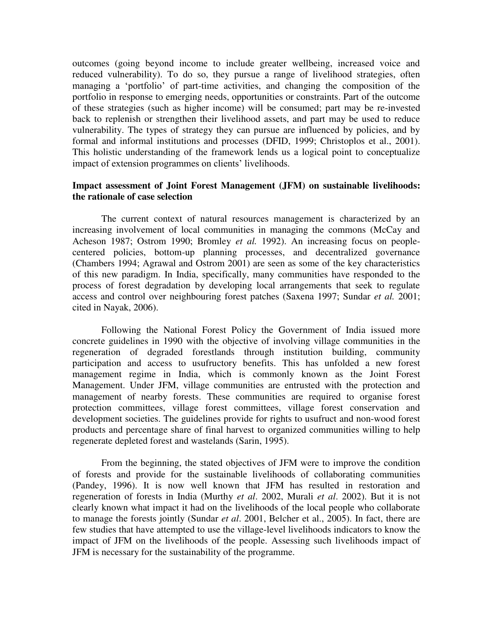outcomes (going beyond income to include greater wellbeing, increased voice and reduced vulnerability). To do so, they pursue a range of livelihood strategies, often managing a 'portfolio' of part-time activities, and changing the composition of the portfolio in response to emerging needs, opportunities or constraints. Part of the outcome of these strategies (such as higher income) will be consumed; part may be re-invested back to replenish or strengthen their livelihood assets, and part may be used to reduce vulnerability. The types of strategy they can pursue are influenced by policies, and by formal and informal institutions and processes (DFID, 1999; Christoplos et al., 2001). This holistic understanding of the framework lends us a logical point to conceptualize impact of extension programmes on clients' livelihoods.

# **Impact assessment of Joint Forest Management (JFM) on sustainable livelihoods: the rationale of case selection**

The current context of natural resources management is characterized by an increasing involvement of local communities in managing the commons (McCay and Acheson 1987; Ostrom 1990; Bromley *et al.* 1992). An increasing focus on peoplecentered policies, bottom-up planning processes, and decentralized governance (Chambers 1994; Agrawal and Ostrom 2001) are seen as some of the key characteristics of this new paradigm. In India, specifically, many communities have responded to the process of forest degradation by developing local arrangements that seek to regulate access and control over neighbouring forest patches (Saxena 1997; Sundar *et al.* 2001; cited in Nayak, 2006).

Following the National Forest Policy the Government of India issued more concrete guidelines in 1990 with the objective of involving village communities in the regeneration of degraded forestlands through institution building, community participation and access to usufructory benefits. This has unfolded a new forest management regime in India, which is commonly known as the Joint Forest Management. Under JFM, village communities are entrusted with the protection and management of nearby forests. These communities are required to organise forest protection committees, village forest committees, village forest conservation and development societies. The guidelines provide for rights to usufruct and non-wood forest products and percentage share of final harvest to organized communities willing to help regenerate depleted forest and wastelands (Sarin, 1995).

From the beginning, the stated objectives of JFM were to improve the condition of forests and provide for the sustainable livelihoods of collaborating communities (Pandey, 1996). It is now well known that JFM has resulted in restoration and regeneration of forests in India (Murthy *et al*. 2002, Murali *et al*. 2002). But it is not clearly known what impact it had on the livelihoods of the local people who collaborate to manage the forests jointly (Sundar *et al*. 2001, Belcher et al., 2005). In fact, there are few studies that have attempted to use the village-level livelihoods indicators to know the impact of JFM on the livelihoods of the people. Assessing such livelihoods impact of JFM is necessary for the sustainability of the programme.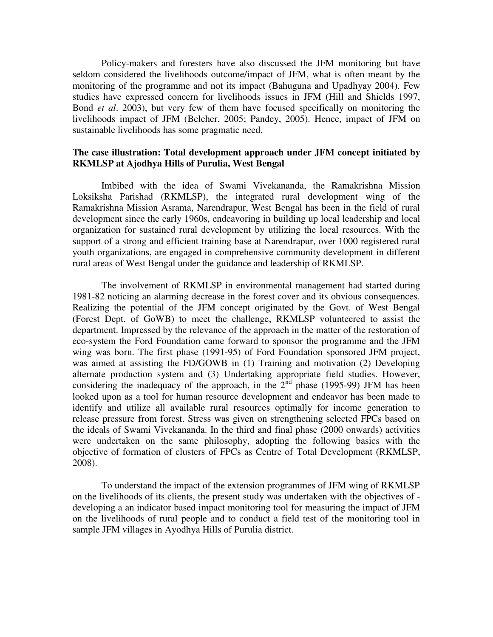Policy-makers and foresters have also discussed the JFM monitoring but have seldom considered the livelihoods outcome/impact of JFM, what is often meant by the monitoring of the programme and not its impact (Bahuguna and Upadhyay 2004). Few studies have expressed concern for livelihoods issues in JFM (Hill and Shields 1997, Bond *et al*. 2003), but very few of them have focused specifically on monitoring the livelihoods impact of JFM (Belcher, 2005; Pandey, 2005). Hence, impact of JFM on sustainable livelihoods has some pragmatic need.

#### **The case illustration: Total development approach under JFM concept initiated by RKMLSP at Ajodhya Hills of Purulia, West Bengal**

Imbibed with the idea of Swami Vivekananda, the Ramakrishna Mission Loksiksha Parishad (RKMLSP), the integrated rural development wing of the Ramakrishna Mission Asrama, Narendrapur, West Bengal has been in the field of rural development since the early 1960s, endeavoring in building up local leadership and local organization for sustained rural development by utilizing the local resources. With the support of a strong and efficient training base at Narendrapur, over 1000 registered rural youth organizations, are engaged in comprehensive community development in different rural areas of West Bengal under the guidance and leadership of RKMLSP.

The involvement of RKMLSP in environmental management had started during 1981-82 noticing an alarming decrease in the forest cover and its obvious consequences. Realizing the potential of the JFM concept originated by the Govt. of West Bengal (Forest Dept. of GoWB) to meet the challenge, RKMLSP volunteered to assist the department. Impressed by the relevance of the approach in the matter of the restoration of eco-system the Ford Foundation came forward to sponsor the programme and the JFM wing was born. The first phase (1991-95) of Ford Foundation sponsored JFM project, was aimed at assisting the FD/GOWB in (1) Training and motivation (2) Developing alternate production system and (3) Undertaking appropriate field studies. However, considering the inadequacy of the approach, in the  $2<sup>nd</sup>$  phase (1995-99) JFM has been looked upon as a tool for human resource development and endeavor has been made to identify and utilize all available rural resources optimally for income generation to release pressure from forest. Stress was given on strengthening selected FPCs based on the ideals of Swami Vivekananda. In the third and final phase (2000 onwards) activities were undertaken on the same philosophy, adopting the following basics with the objective of formation of clusters of FPCs as Centre of Total Development (RKMLSP, 2008).

 To understand the impact of the extension programmes of JFM wing of RKMLSP on the livelihoods of its clients, the present study was undertaken with the objectives of developing a an indicator based impact monitoring tool for measuring the impact of JFM on the livelihoods of rural people and to conduct a field test of the monitoring tool in sample JFM villages in Ayodhya Hills of Purulia district.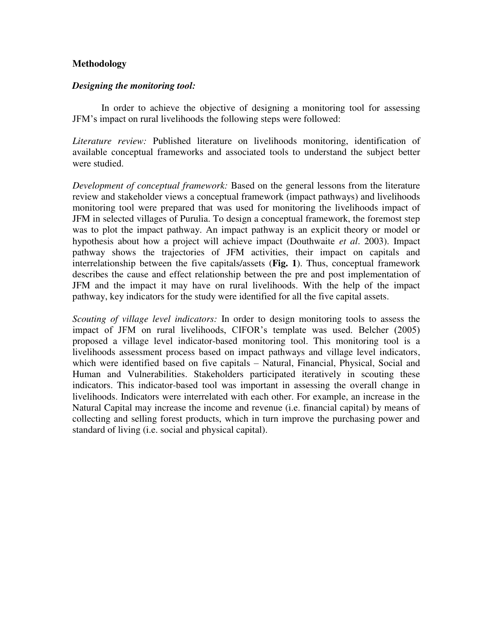#### **Methodology**

#### *Designing the monitoring tool:*

In order to achieve the objective of designing a monitoring tool for assessing JFM's impact on rural livelihoods the following steps were followed:

*Literature review:* Published literature on livelihoods monitoring, identification of available conceptual frameworks and associated tools to understand the subject better were studied.

*Development of conceptual framework:* Based on the general lessons from the literature review and stakeholder views a conceptual framework (impact pathways) and livelihoods monitoring tool were prepared that was used for monitoring the livelihoods impact of JFM in selected villages of Purulia. To design a conceptual framework, the foremost step was to plot the impact pathway. An impact pathway is an explicit theory or model or hypothesis about how a project will achieve impact (Douthwaite *et al*. 2003). Impact pathway shows the trajectories of JFM activities, their impact on capitals and interrelationship between the five capitals/assets (**Fig. 1**). Thus, conceptual framework describes the cause and effect relationship between the pre and post implementation of JFM and the impact it may have on rural livelihoods. With the help of the impact pathway, key indicators for the study were identified for all the five capital assets.

*Scouting of village level indicators:* In order to design monitoring tools to assess the impact of JFM on rural livelihoods, CIFOR's template was used. Belcher (2005) proposed a village level indicator-based monitoring tool. This monitoring tool is a livelihoods assessment process based on impact pathways and village level indicators, which were identified based on five capitals – Natural, Financial, Physical, Social and Human and Vulnerabilities. Stakeholders participated iteratively in scouting these indicators. This indicator-based tool was important in assessing the overall change in livelihoods. Indicators were interrelated with each other. For example, an increase in the Natural Capital may increase the income and revenue (i.e. financial capital) by means of collecting and selling forest products, which in turn improve the purchasing power and standard of living (i.e. social and physical capital).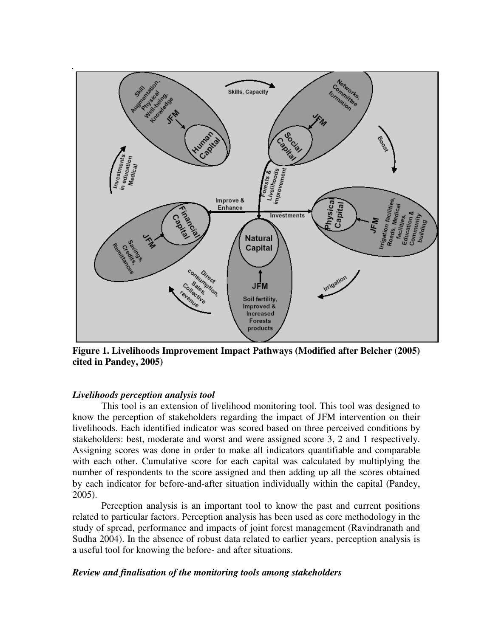

**Figure 1. Livelihoods Improvement Impact Pathways (Modified after Belcher (2005) cited in Pandey, 2005)**

#### *Livelihoods perception analysis tool*

This tool is an extension of livelihood monitoring tool. This tool was designed to know the perception of stakeholders regarding the impact of JFM intervention on their livelihoods. Each identified indicator was scored based on three perceived conditions by stakeholders: best, moderate and worst and were assigned score 3, 2 and 1 respectively. Assigning scores was done in order to make all indicators quantifiable and comparable with each other. Cumulative score for each capital was calculated by multiplying the number of respondents to the score assigned and then adding up all the scores obtained by each indicator for before-and-after situation individually within the capital (Pandey, 2005).

Perception analysis is an important tool to know the past and current positions related to particular factors. Perception analysis has been used as core methodology in the study of spread, performance and impacts of joint forest management (Ravindranath and Sudha 2004). In the absence of robust data related to earlier years, perception analysis is a useful tool for knowing the before- and after situations.

#### *Review and finalisation of the monitoring tools among stakeholders*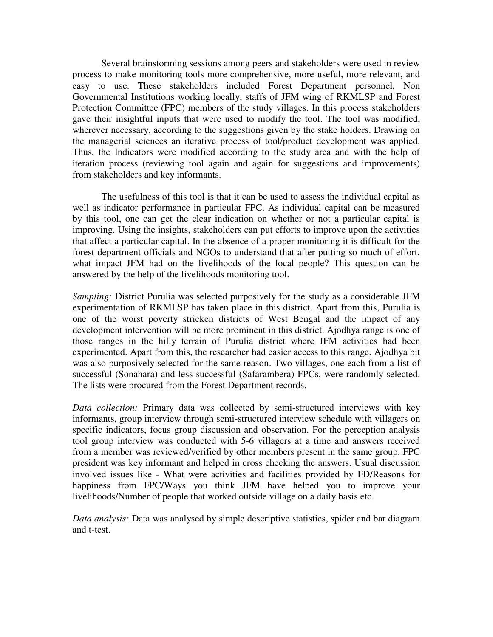Several brainstorming sessions among peers and stakeholders were used in review process to make monitoring tools more comprehensive, more useful, more relevant, and easy to use. These stakeholders included Forest Department personnel, Non Governmental Institutions working locally, staffs of JFM wing of RKMLSP and Forest Protection Committee (FPC) members of the study villages. In this process stakeholders gave their insightful inputs that were used to modify the tool. The tool was modified, wherever necessary, according to the suggestions given by the stake holders. Drawing on the managerial sciences an iterative process of tool/product development was applied. Thus, the Indicators were modified according to the study area and with the help of iteration process (reviewing tool again and again for suggestions and improvements) from stakeholders and key informants.

The usefulness of this tool is that it can be used to assess the individual capital as well as indicator performance in particular FPC. As individual capital can be measured by this tool, one can get the clear indication on whether or not a particular capital is improving. Using the insights, stakeholders can put efforts to improve upon the activities that affect a particular capital. In the absence of a proper monitoring it is difficult for the forest department officials and NGOs to understand that after putting so much of effort, what impact JFM had on the livelihoods of the local people? This question can be answered by the help of the livelihoods monitoring tool.

*Sampling:* District Purulia was selected purposively for the study as a considerable JFM experimentation of RKMLSP has taken place in this district. Apart from this, Purulia is one of the worst poverty stricken districts of West Bengal and the impact of any development intervention will be more prominent in this district. Ajodhya range is one of those ranges in the hilly terrain of Purulia district where JFM activities had been experimented. Apart from this, the researcher had easier access to this range. Ajodhya bit was also purposively selected for the same reason. Two villages, one each from a list of successful (Sonahara) and less successful (Safarambera) FPCs, were randomly selected. The lists were procured from the Forest Department records.

*Data collection:* Primary data was collected by semi-structured interviews with key informants, group interview through semi-structured interview schedule with villagers on specific indicators, focus group discussion and observation. For the perception analysis tool group interview was conducted with 5-6 villagers at a time and answers received from a member was reviewed/verified by other members present in the same group. FPC president was key informant and helped in cross checking the answers. Usual discussion involved issues like - What were activities and facilities provided by FD/Reasons for happiness from FPC/Ways you think JFM have helped you to improve your livelihoods/Number of people that worked outside village on a daily basis etc.

*Data analysis:* Data was analysed by simple descriptive statistics, spider and bar diagram and t-test.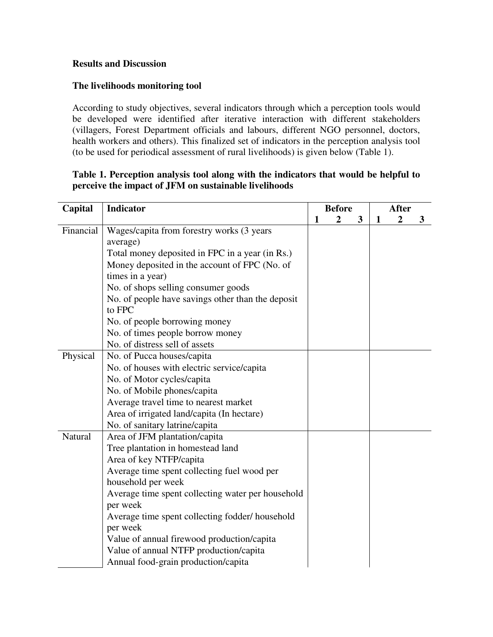#### **Results and Discussion**

# **The livelihoods monitoring tool**

According to study objectives, several indicators through which a perception tools would be developed were identified after iterative interaction with different stakeholders (villagers, Forest Department officials and labours, different NGO personnel, doctors, health workers and others). This finalized set of indicators in the perception analysis tool (to be used for periodical assessment of rural livelihoods) is given below (Table 1).

# **Table 1. Perception analysis tool along with the indicators that would be helpful to perceive the impact of JFM on sustainable livelihoods**

| Capital   | Indicator                                                   |   | <b>Before</b>  |   | <b>After</b> |                  |   |  |
|-----------|-------------------------------------------------------------|---|----------------|---|--------------|------------------|---|--|
|           |                                                             | 1 | $\overline{2}$ | 3 | $\mathbf{1}$ | $\boldsymbol{2}$ | 3 |  |
| Financial | Wages/capita from forestry works (3 years                   |   |                |   |              |                  |   |  |
|           | average)                                                    |   |                |   |              |                  |   |  |
|           | Total money deposited in FPC in a year (in Rs.)             |   |                |   |              |                  |   |  |
|           | Money deposited in the account of FPC (No. of               |   |                |   |              |                  |   |  |
|           | times in a year)                                            |   |                |   |              |                  |   |  |
|           | No. of shops selling consumer goods                         |   |                |   |              |                  |   |  |
|           | No. of people have savings other than the deposit<br>to FPC |   |                |   |              |                  |   |  |
|           | No. of people borrowing money                               |   |                |   |              |                  |   |  |
|           | No. of times people borrow money                            |   |                |   |              |                  |   |  |
|           | No. of distress sell of assets                              |   |                |   |              |                  |   |  |
| Physical  | No. of Pucca houses/capita                                  |   |                |   |              |                  |   |  |
|           | No. of houses with electric service/capita                  |   |                |   |              |                  |   |  |
|           | No. of Motor cycles/capita                                  |   |                |   |              |                  |   |  |
|           | No. of Mobile phones/capita                                 |   |                |   |              |                  |   |  |
|           | Average travel time to nearest market                       |   |                |   |              |                  |   |  |
|           | Area of irrigated land/capita (In hectare)                  |   |                |   |              |                  |   |  |
|           | No. of sanitary latrine/capita                              |   |                |   |              |                  |   |  |
| Natural   | Area of JFM plantation/capita                               |   |                |   |              |                  |   |  |
|           | Tree plantation in homestead land                           |   |                |   |              |                  |   |  |
|           | Area of key NTFP/capita                                     |   |                |   |              |                  |   |  |
|           | Average time spent collecting fuel wood per                 |   |                |   |              |                  |   |  |
|           | household per week                                          |   |                |   |              |                  |   |  |
|           | Average time spent collecting water per household           |   |                |   |              |                  |   |  |
|           | per week                                                    |   |                |   |              |                  |   |  |
|           | Average time spent collecting fodder/ household<br>per week |   |                |   |              |                  |   |  |
|           | Value of annual firewood production/capita                  |   |                |   |              |                  |   |  |
|           | Value of annual NTFP production/capita                      |   |                |   |              |                  |   |  |
|           | Annual food-grain production/capita                         |   |                |   |              |                  |   |  |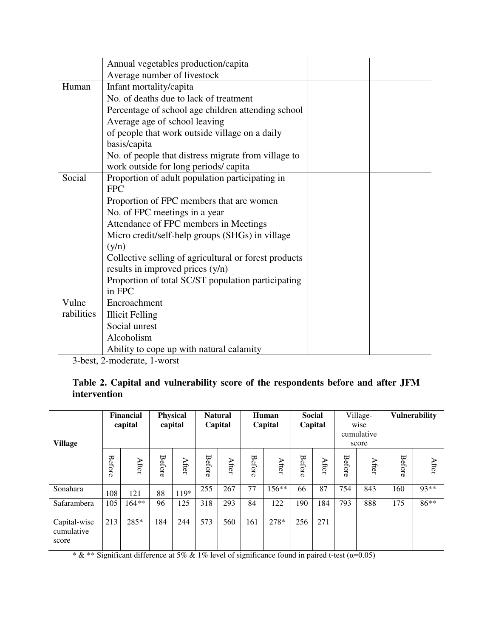|            | Annual vegetables production/capita                   |  |
|------------|-------------------------------------------------------|--|
|            | Average number of livestock                           |  |
| Human      | Infant mortality/capita                               |  |
|            | No. of deaths due to lack of treatment                |  |
|            | Percentage of school age children attending school    |  |
|            | Average age of school leaving                         |  |
|            | of people that work outside village on a daily        |  |
|            | basis/capita                                          |  |
|            | No. of people that distress migrate from village to   |  |
|            | work outside for long periods/capita                  |  |
| Social     | Proportion of adult population participating in       |  |
|            | <b>FPC</b>                                            |  |
|            | Proportion of FPC members that are women              |  |
|            | No. of FPC meetings in a year                         |  |
|            | Attendance of FPC members in Meetings                 |  |
|            | Micro credit/self-help groups (SHGs) in village       |  |
|            | (y/n)                                                 |  |
|            | Collective selling of agricultural or forest products |  |
|            | results in improved prices (y/n)                      |  |
|            | Proportion of total SC/ST population participating    |  |
|            | in FPC                                                |  |
| Vulne      | Encroachment                                          |  |
| rabilities | <b>Illicit Felling</b>                                |  |
|            | Social unrest                                         |  |
|            | Alcoholism                                            |  |
|            | Ability to cope up with natural calamity              |  |

3-best, 2-moderate, 1-worst

**Table 2. Capital and vulnerability score of the respondents before and after JFM intervention** 

| <b>Village</b>                      | <b>Financial</b><br>capital |         | <b>Physical</b><br>capital |       | <b>Natural</b><br>Capital |       | Human<br>Capital |         | <b>Social</b><br>Capital |       | Village-<br>wise<br>cumulative<br>score |       | <b>Vulnerability</b> |       |
|-------------------------------------|-----------------------------|---------|----------------------------|-------|---------------------------|-------|------------------|---------|--------------------------|-------|-----------------------------------------|-------|----------------------|-------|
|                                     | <b>Before</b>               | After   | Before                     | After | Before                    | After | <b>Before</b>    | After   | <b>Before</b>            | After | Before                                  | After | <b>Before</b>        | After |
| Sonahara                            | 108                         | 121     | 88                         | 119*  | 255                       | 267   | 77               | $156**$ | 66                       | 87    | 754                                     | 843   | 160                  | 93**  |
| Safarambera                         | 105                         | $164**$ | 96                         | 125   | 318                       | 293   | 84               | 122     | 190                      | 184   | 793                                     | 888   | 175                  | 86**  |
| Capital-wise<br>cumulative<br>score | 213                         | 285*    | 184                        | 244   | 573                       | 560   | 161              | 278*    | 256                      | 271   |                                         |       |                      |       |

\*  $\&$  \*\* Significant difference at 5%  $\&$  1% level of significance found in paired t-test ( $\alpha$ =0.05)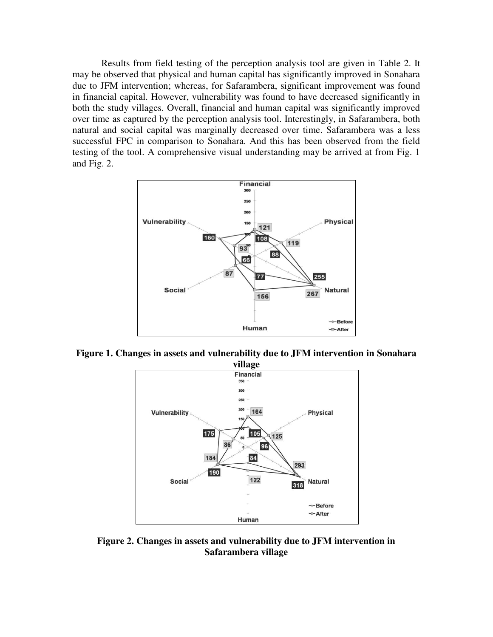Results from field testing of the perception analysis tool are given in Table 2. It may be observed that physical and human capital has significantly improved in Sonahara due to JFM intervention; whereas, for Safarambera, significant improvement was found in financial capital. However, vulnerability was found to have decreased significantly in both the study villages. Overall, financial and human capital was significantly improved over time as captured by the perception analysis tool. Interestingly, in Safarambera, both natural and social capital was marginally decreased over time. Safarambera was a less successful FPC in comparison to Sonahara. And this has been observed from the field testing of the tool. A comprehensive visual understanding may be arrived at from Fig. 1 and Fig. 2.



**Figure 1. Changes in assets and vulnerability due to JFM intervention in Sonahara** 



**Figure 2. Changes in assets and vulnerability due to JFM intervention in Safarambera village**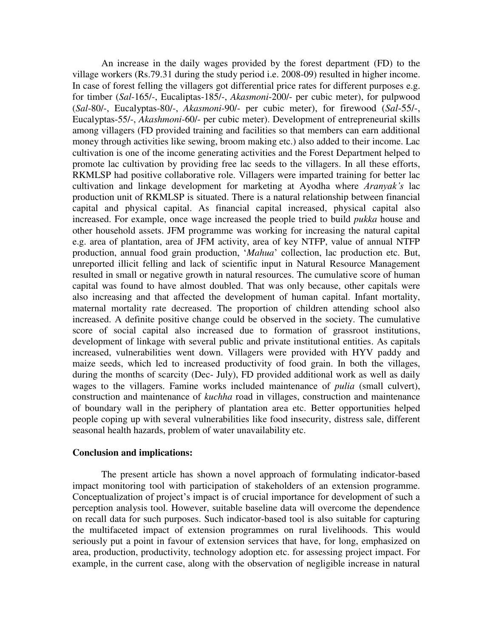An increase in the daily wages provided by the forest department (FD) to the village workers (Rs.79.31 during the study period i.e. 2008-09) resulted in higher income. In case of forest felling the villagers got differential price rates for different purposes e.g. for timber (*Sal*-165/-, Eucaliptas-185/-, *Akasmoni*-200/- per cubic meter), for pulpwood (*Sal*-80/-, Eucalyptas-80/-, *Akasmoni*-90/- per cubic meter), for firewood (*Sal*-55/-, Eucalyptas-55/-, *Akashmoni*-60/- per cubic meter). Development of entrepreneurial skills among villagers (FD provided training and facilities so that members can earn additional money through activities like sewing, broom making etc.) also added to their income. Lac cultivation is one of the income generating activities and the Forest Department helped to promote lac cultivation by providing free lac seeds to the villagers. In all these efforts, RKMLSP had positive collaborative role. Villagers were imparted training for better lac cultivation and linkage development for marketing at Ayodha where *Aranyak's* lac production unit of RKMLSP is situated. There is a natural relationship between financial capital and physical capital. As financial capital increased, physical capital also increased. For example, once wage increased the people tried to build *pukka* house and other household assets. JFM programme was working for increasing the natural capital e.g. area of plantation, area of JFM activity, area of key NTFP, value of annual NTFP production, annual food grain production, '*Mahua*' collection, lac production etc. But, unreported illicit felling and lack of scientific input in Natural Resource Management resulted in small or negative growth in natural resources. The cumulative score of human capital was found to have almost doubled. That was only because, other capitals were also increasing and that affected the development of human capital. Infant mortality, maternal mortality rate decreased. The proportion of children attending school also increased. A definite positive change could be observed in the society. The cumulative score of social capital also increased due to formation of grassroot institutions, development of linkage with several public and private institutional entities. As capitals increased, vulnerabilities went down. Villagers were provided with HYV paddy and maize seeds, which led to increased productivity of food grain. In both the villages, during the months of scarcity (Dec- July), FD provided additional work as well as daily wages to the villagers. Famine works included maintenance of *pulia* (small culvert), construction and maintenance of *kuchha* road in villages, construction and maintenance of boundary wall in the periphery of plantation area etc. Better opportunities helped people coping up with several vulnerabilities like food insecurity, distress sale, different seasonal health hazards, problem of water unavailability etc.

#### **Conclusion and implications:**

The present article has shown a novel approach of formulating indicator-based impact monitoring tool with participation of stakeholders of an extension programme. Conceptualization of project's impact is of crucial importance for development of such a perception analysis tool. However, suitable baseline data will overcome the dependence on recall data for such purposes. Such indicator-based tool is also suitable for capturing the multifaceted impact of extension programmes on rural livelihoods. This would seriously put a point in favour of extension services that have, for long, emphasized on area, production, productivity, technology adoption etc. for assessing project impact. For example, in the current case, along with the observation of negligible increase in natural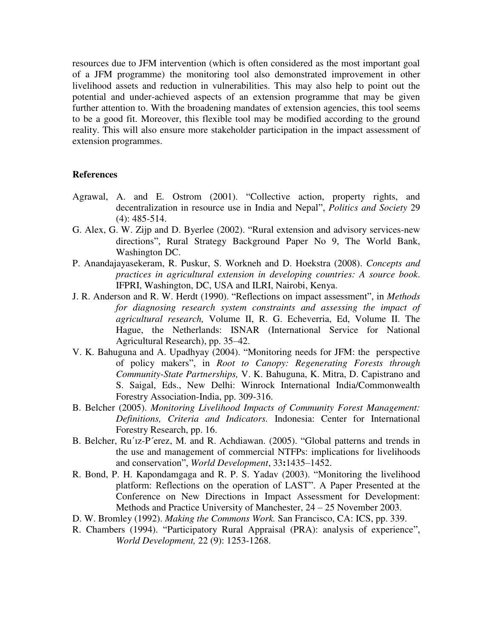resources due to JFM intervention (which is often considered as the most important goal of a JFM programme) the monitoring tool also demonstrated improvement in other livelihood assets and reduction in vulnerabilities. This may also help to point out the potential and under-achieved aspects of an extension programme that may be given further attention to. With the broadening mandates of extension agencies, this tool seems to be a good fit. Moreover, this flexible tool may be modified according to the ground reality. This will also ensure more stakeholder participation in the impact assessment of extension programmes.

#### **References**

- Agrawal, A. and E. Ostrom (2001). "Collective action, property rights, and decentralization in resource use in India and Nepal", *Politics and Society* 29 (4): 485-514.
- G. Alex, G. W. Zijp and D. Byerlee (2002). "Rural extension and advisory services-new directions", Rural Strategy Background Paper No 9, The World Bank, Washington DC.
- P. Anandajayasekeram, R. Puskur, S. Workneh and D. Hoekstra (2008). *Concepts and practices in agricultural extension in developing countries: A source book*. IFPRI, Washington, DC, USA and ILRI, Nairobi, Kenya.
- J. R. Anderson and R. W. Herdt (1990). "Reflections on impact assessment", in *Methods for diagnosing research system constraints and assessing the impact of agricultural research,* Volume II, R. G. Echeverria, Ed, Volume II. The Hague, the Netherlands: ISNAR (International Service for National Agricultural Research), pp. 35–42.
- V. K. Bahuguna and A. Upadhyay (2004). "Monitoring needs for JFM: the perspective of policy makers", in *Root to Canopy: Regenerating Forests through Community-State Partnerships,* V. K. Bahuguna, K. Mitra, D. Capistrano and S. Saigal, Eds., New Delhi: Winrock International India/Commonwealth Forestry Association-India, pp. 309-316.
- B. Belcher (2005). *Monitoring Livelihood Impacts of Community Forest Management: Definitions, Criteria and Indicators.* Indonesia: Center for International Forestry Research, pp. 16.
- B. Belcher, Ru´ız-P´erez, M. and R. Achdiawan. (2005). "Global patterns and trends in the use and management of commercial NTFPs: implications for livelihoods and conservation", *World Development*, 33**:**1435–1452.
- R. Bond, P. H. Kapondamgaga and R. P. S. Yadav (2003). "Monitoring the livelihood platform: Reflections on the operation of LAST". A Paper Presented at the Conference on New Directions in Impact Assessment for Development: Methods and Practice University of Manchester, 24 – 25 November 2003.
- D. W. Bromley (1992). *Making the Commons Work.* San Francisco, CA: ICS, pp. 339.
- R. Chambers (1994). "Participatory Rural Appraisal (PRA): analysis of experience", *World Development,* 22 (9): 1253-1268.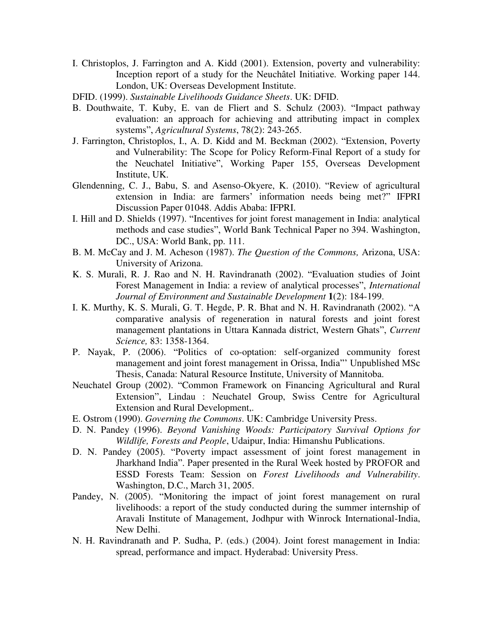- I. Christoplos, J. Farrington and A. Kidd (2001). Extension, poverty and vulnerability: Inception report of a study for the Neuchâtel Initiative*.* Working paper 144. London, UK: Overseas Development Institute.
- DFID. (1999). *Sustainable Livelihoods Guidance Sheets*. UK: DFID.
- B. Douthwaite, T. Kuby, E. van de Fliert and S. Schulz (2003). "Impact pathway evaluation: an approach for achieving and attributing impact in complex systems", *Agricultural Systems*, 78(2): 243-265.
- J. Farrington, Christoplos, I., A. D. Kidd and M. Beckman (2002). "Extension, Poverty and Vulnerability: The Scope for Policy Reform-Final Report of a study for the Neuchatel Initiative", Working Paper 155, Overseas Development Institute, UK.
- Glendenning, C. J., Babu, S. and Asenso-Okyere, K. (2010). "Review of agricultural extension in India: are farmers' information needs being met?" IFPRI Discussion Paper 01048. Addis Ababa: IFPRI.
- I. Hill and D. Shields (1997). "Incentives for joint forest management in India: analytical methods and case studies", World Bank Technical Paper no 394. Washington, DC., USA: World Bank, pp. 111.
- B. M. McCay and J. M. Acheson (1987). *The Question of the Commons,* Arizona, USA: University of Arizona.
- K. S. Murali, R. J. Rao and N. H. Ravindranath (2002). "Evaluation studies of Joint Forest Management in India: a review of analytical processes", *International Journal of Environment and Sustainable Development* **1**(2): 184-199.
- I. K. Murthy, K. S. Murali, G. T. Hegde, P. R. Bhat and N. H. Ravindranath (2002). "A comparative analysis of regeneration in natural forests and joint forest management plantations in Uttara Kannada district, Western Ghats", *Current Science,* 83: 1358-1364.
- P. Nayak, P. (2006). "Politics of co-optation: self-organized community forest management and joint forest management in Orissa, India"' Unpublished MSc Thesis, Canada: Natural Resource Institute, University of Mannitoba.
- Neuchatel Group (2002). "Common Framework on Financing Agricultural and Rural Extension", Lindau : Neuchatel Group, Swiss Centre for Agricultural Extension and Rural Development,.
- E. Ostrom (1990). *Governing the Commons*. UK: Cambridge University Press.
- D. N. Pandey (1996). *Beyond Vanishing Woods: Participatory Survival Options for Wildlife, Forests and People*, Udaipur, India: Himanshu Publications.
- D. N. Pandey (2005). "Poverty impact assessment of joint forest management in Jharkhand India". Paper presented in the Rural Week hosted by PROFOR and ESSD Forests Team: Session on *Forest Livelihoods and Vulnerability*. Washington, D.C., March 31, 2005.
- Pandey, N. (2005). "Monitoring the impact of joint forest management on rural livelihoods: a report of the study conducted during the summer internship of Aravali Institute of Management, Jodhpur with Winrock International-India, New Delhi.
- N. H. Ravindranath and P. Sudha, P. (eds.) (2004). Joint forest management in India: spread, performance and impact. Hyderabad: University Press.